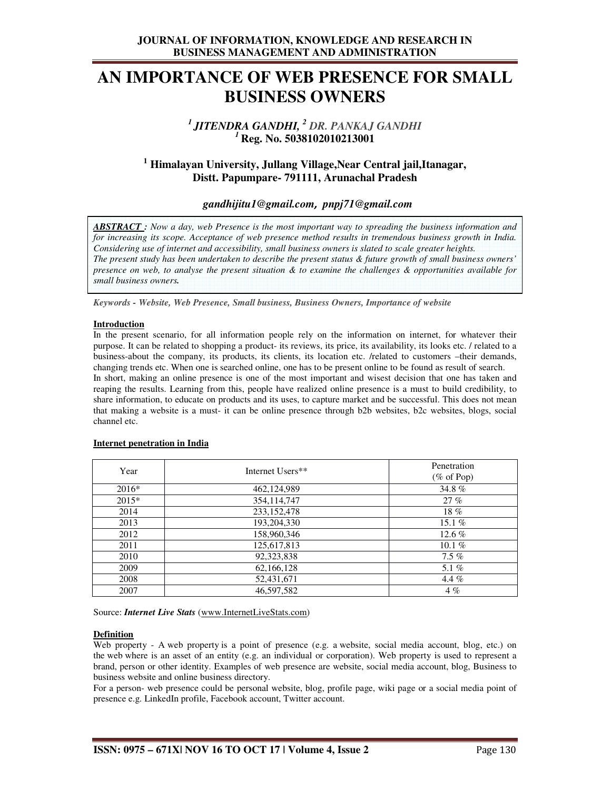## **AN IMPORTANCE OF WEB PRESENCE FOR SMALL BUSINESS OWNERS**

## *<sup>1</sup>JITENDRA GANDHI, <sup>2</sup> DR. PANKAJ GANDHI <sup>1</sup>***Reg. No. 5038102010213001**

## **1 Himalayan University, Jullang Village,Near Central jail,Itanagar, Distt. Papumpare- 791111, Arunachal Pradesh**

## *gandhijitu1@gmail.com, pnpj71@gmail.com*

*ABSTRACT : Now a day, web Presence is the most important way to spreading the business information and for increasing its scope. Acceptance of web presence method results in tremendous business growth in India. Considering use of internet and accessibility, small business owners is slated to scale greater heights. The present study has been undertaken to describe the present status & future growth of small business owners' presence on web, to analyse the present situation & to examine the challenges & opportunities available for small business owners.* 

*Keywords - Website, Web Presence, Small business, Business Owners, Importance of website*

#### **Introduction**

In the present scenario, for all information people rely on the information on internet, for whatever their purpose. It can be related to shopping a product- its reviews, its price, its availability, its looks etc. / related to a business-about the company, its products, its clients, its location etc. /related to customers –their demands, changing trends etc. When one is searched online, one has to be present online to be found as result of search.

In short, making an online presence is one of the most important and wisest decision that one has taken and reaping the results. Learning from this, people have realized online presence is a must to build credibility, to share information, to educate on products and its uses, to capture market and be successful. This does not mean that making a website is a must- it can be online presence through b2b websites, b2c websites, blogs, social channel etc.

| Year    | Internet Users** | Penetration<br>$(\% \text{ of Pop})$ |
|---------|------------------|--------------------------------------|
| $2016*$ | 462,124,989      | 34.8%                                |
| $2015*$ | 354,114,747      | 27%                                  |
| 2014    | 233,152,478      | $18\%$                               |
| 2013    | 193,204,330      | 15.1 $%$                             |
| 2012    | 158,960,346      | 12.6 $%$                             |
| 2011    | 125,617,813      | 10.1 $%$                             |
| 2010    | 92,323,838       | $7.5\%$                              |
| 2009    | 62,166,128       | 5.1%                                 |
| 2008    | 52,431,671       | 4.4 $%$                              |
| 2007    | 46,597,582       | $4\%$                                |

#### **Internet penetration in India**

Source: *Internet Live Stats* (www.InternetLiveStats.com)

#### **Definition**

Web property - A web property is a point of presence (e.g. a website, social media account, blog, etc.) on the web where is an asset of an entity (e.g. an individual or corporation). Web property is used to represent a brand, person or other identity. Examples of web presence are website, social media account, blog, Business to business website and online business directory.

For a person- web presence could be personal website, blog, profile page, wiki page or a social media point of presence e.g. LinkedIn profile, Facebook account, Twitter account.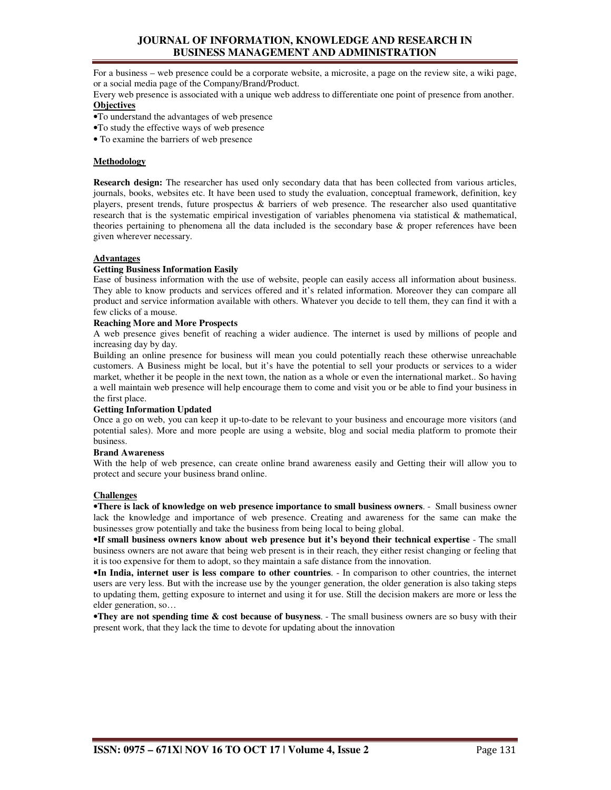## **JOURNAL OF INFORMATION, KNOWLEDGE AND RESEARCH IN BUSINESS MANAGEMENT AND ADMINISTRATION**

For a business – web presence could be a corporate website, a microsite, a page on the review site, a wiki page, or a social media page of the Company/Brand/Product.

Every web presence is associated with a unique web address to differentiate one point of presence from another. **Objectives**

- •To understand the advantages of web presence
- •To study the effective ways of web presence

• To examine the barriers of web presence

#### **Methodology**

**Research design:** The researcher has used only secondary data that has been collected from various articles, journals, books, websites etc. It have been used to study the evaluation, conceptual framework, definition, key players, present trends, future prospectus & barriers of web presence. The researcher also used quantitative research that is the systematic empirical investigation of variables phenomena via statistical & mathematical, theories pertaining to phenomena all the data included is the secondary base & proper references have been given wherever necessary.

#### **Advantages**

#### **Getting Business Information Easily**

Ease of business information with the use of website, people can easily access all information about business. They able to know products and services offered and it's related information. Moreover they can compare all product and service information available with others. Whatever you decide to tell them, they can find it with a few clicks of a mouse.

#### **Reaching More and More Prospects**

A web presence gives benefit of reaching a wider audience. The internet is used by millions of people and increasing day by day.

Building an online presence for business will mean you could potentially reach these otherwise unreachable customers. A Business might be local, but it's have the potential to sell your products or services to a wider market, whether it be people in the next town, the nation as a whole or even the international market.. So having a well maintain web presence will help encourage them to come and visit you or be able to find your business in the first place.

#### **Getting Information Updated**

Once a go on web, you can keep it up-to-date to be relevant to your business and encourage more visitors (and potential sales). More and more people are using a website, blog and social media platform to promote their business.

#### **Brand Awareness**

With the help of web presence, can create online brand awareness easily and Getting their will allow you to protect and secure your business brand online.

#### **Challenges**

•**There is lack of knowledge on web presence importance to small business owners**. - Small business owner lack the knowledge and importance of web presence. Creating and awareness for the same can make the businesses grow potentially and take the business from being local to being global.

•**If small business owners know about web presence but it's beyond their technical expertise** - The small business owners are not aware that being web present is in their reach, they either resist changing or feeling that it is too expensive for them to adopt, so they maintain a safe distance from the innovation.

•**In India, internet user is less compare to other countries**. - In comparison to other countries, the internet users are very less. But with the increase use by the younger generation, the older generation is also taking steps to updating them, getting exposure to internet and using it for use. Still the decision makers are more or less the elder generation, so…

•**They are not spending time & cost because of busyness**. - The small business owners are so busy with their present work, that they lack the time to devote for updating about the innovation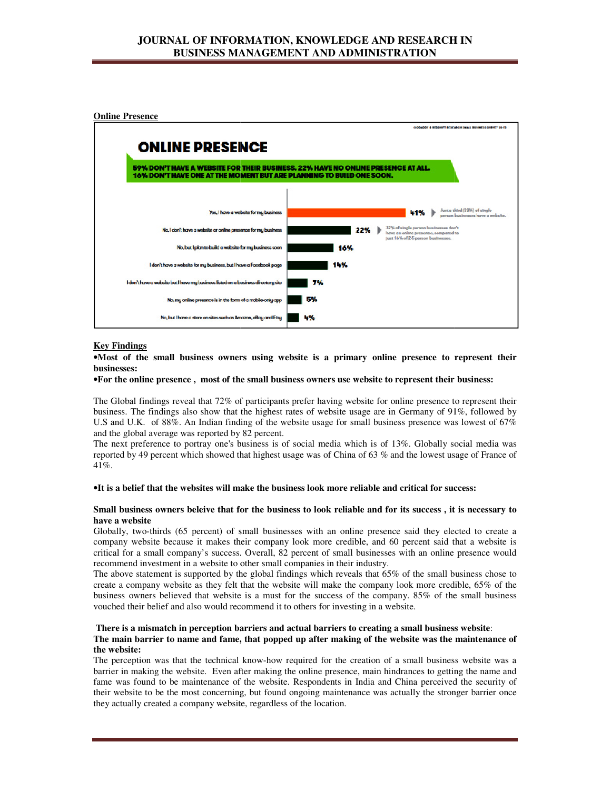

## **Key Findings**

•**Most of the small business owners using website is a primary online presence to represent their businesses:** 

#### **•**For the online presence, most of the small business owners use website to represent their business:

The Global findings reveal that 72% of participants prefer having website for online presence to represent their The Global findings reveal that 72% of participants prefer having website for online presence to represent their<br>business. The findings also show that the highest rates of website usage are in Germany of 91%, followed by U.S and U.K. of 88%. An Indian finding of the website usage for small business presence was and the global average was reported by 82 percent. and the global average was reported by 82 percent.

The next preference to portray one's business is of social media which is of 13%. Globally social media was The next preference to portray one's business is of social media which is of  $13\%$ . Globally social media was reported by 49 percent which showed that highest usage was of China of 63 % and the lowest usage of France of 41%.

### •**It is a belief that the websites will make the business look more reliable and critical for success: he for success:**

# **Small business owners beleive that for the business to look reliable and for its success , it is necessary to business beleive reliable it necessary he websites business have a website**

Globally, two-thirds (65 percent) of small businesses with an online presence said they elected to create a company website because it makes their company look more credible, and 60 percent said that a website is company website because it makes their company look more credible, and 60 percent said that a website is critical for a small company's success. Overall, 82 percent of small businesses with an online presence would recommend investment in a website to other small companies in their industry. wo-thirds (65 percent) of small businesses with an online presence said they elected to create a vebsite because it makes their company look more credible, and 60 percent said that a website is a small company's success. O

The above statement is supported by the global findings which reveals that 65% of the small business chose to recommend investment in a website to other small companies in their industry.<br>The above statement is supported by the global findings which reveals that 65% of the small business chose to<br>create a company website as they f business owners believed that website is a must for the success of the company. 85% of the small business business owners believed that website is a must for the success of the company. 8 vouched their belief and also would recommend it to others for investing in a website.

#### **There is a mismatch in perception barriers and actual barriers to creating a small business website in and barriers business mismatch** : The main barrier to name and fame, that popped up after making of the website was the maintenance of **the website:**

The perception was that the technical know-how required for the creation of a small business website was a barrier in making the website. Even after making the online presence, main hindrances to getting the name and fame was found to be maintenance of the website. Respondents in India and China perceived the security of their website to be the most concerning, but found ongoing maintenance was actually the stronger barrier once they actually created a company website, regardless of the location. **small business owners use website to represent their business:**<br>
conticipants prefer having website for online presence to represent their<br>
e highest rates of website usage are in Germany of 91%, followed by<br>
g of the we how required for the creation of a small business website was a<br>king the online presence, main hindrances to getting the name and<br>ebsite. Respondents in India and China perceived the security of